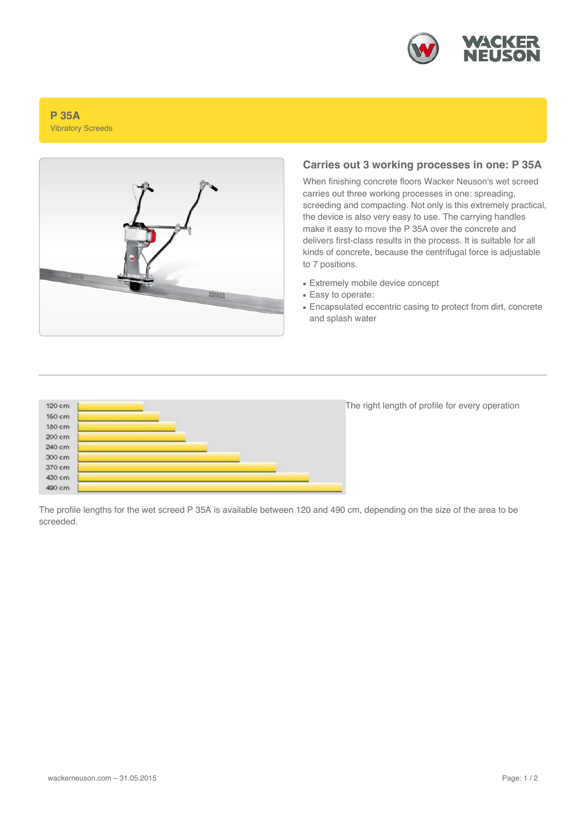

#### **P 35A** Vibratory Screeds



## **Carries out 3 working processes in one: P 35A**

When finishing concrete floors Wacker Neuson's wet screed carries out three working processes in one: spreading, screeding and compacting. Not only is this extremely practical, the device is also very easy to use. The carrying handles make it easy to move the P 35A over the concrete and delivers first-class results in the process. It is suitable for all kinds of concrete, because the centrifugal force is adjustable to 7 positions.

- Extremely mobile device concept
- Easy to operate:
- Encapsulated eccentric casing to protect from dirt, concrete and splash water



The right length of profile for every operation

The profile lengths for the wet screed P 35A is available between 120 and 490 cm, depending on the size of the area to be screeded.